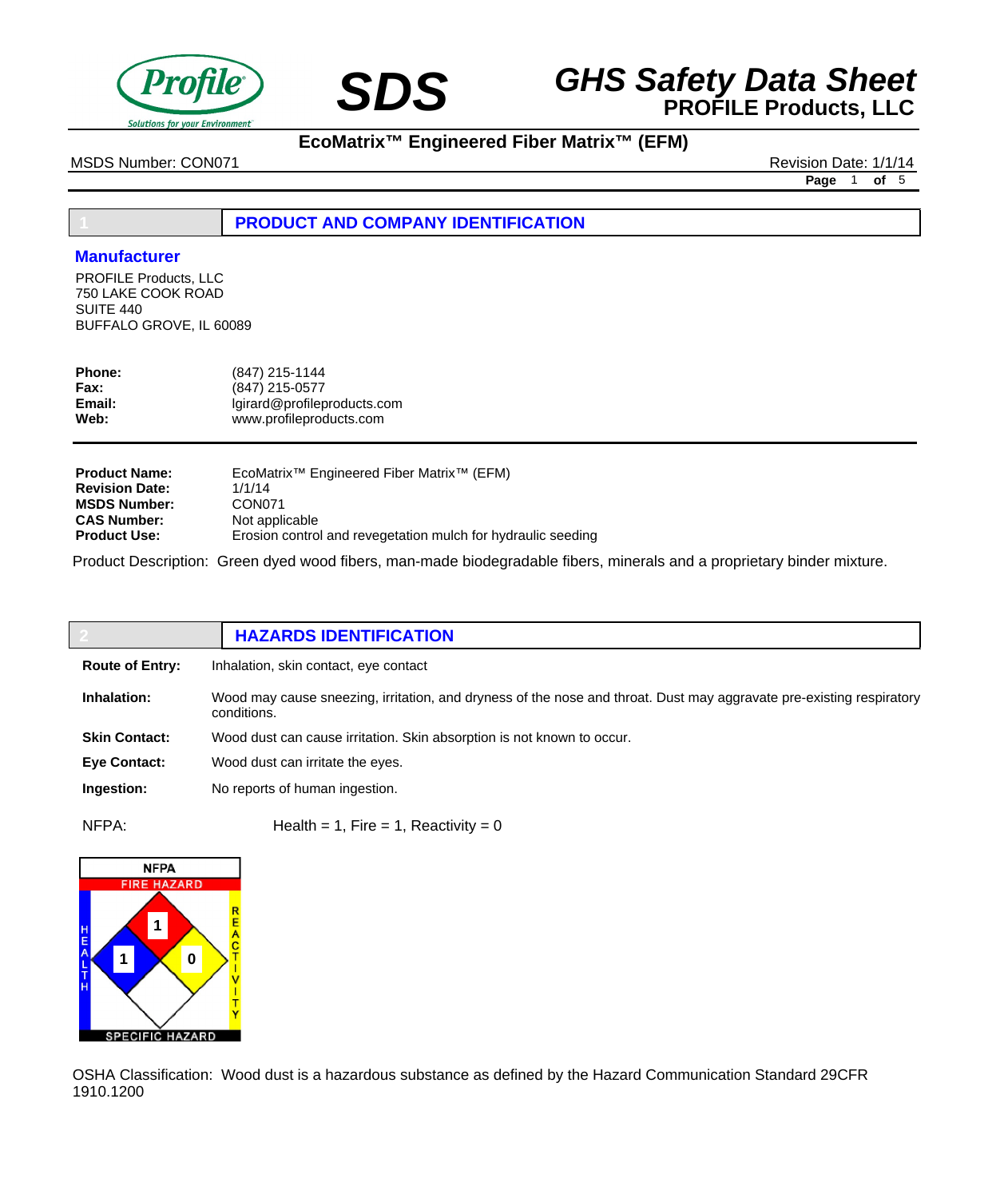

# **SDS GHS Safety Data Sheet**<br>**PROFILE Products, LLC**

MSDS Number: CON071 Revision Date: 1/1/14

**EcoMatrix™ Engineered Fiber Matrix™ (EFM)**

**Page** 1 **of** 5

**1 PRODUCT AND COMPANY IDENTIFICATION**

#### **Manufacturer**

PROFILE Products, LLC 750 LAKE COOK ROAD SUITE 440 BUFFALO GROVE, IL 60089

| <b>Phone:</b> | $(847)$ 215-1144            |
|---------------|-----------------------------|
| <b>Fax:</b>   | (847) 215-0577              |
| Email:        | lgirard@profileproducts.com |
| Web:          | www.profileproducts.com     |

| <b>Product Name:</b>  | EcoMatrix <sup>™</sup> Engineered Fiber Matrix <sup>™</sup> (EFM) |
|-----------------------|-------------------------------------------------------------------|
| <b>Revision Date:</b> | 1/1/14                                                            |
| <b>MSDS Number:</b>   | CON <sub>071</sub>                                                |
| <b>CAS Number:</b>    | Not applicable                                                    |
| <b>Product Use:</b>   | Erosion control and revegetation mulch for hydraulic seeding      |

Product Description: Green dyed wood fibers, man-made biodegradable fibers, minerals and a proprietary binder mixture.

|                        | <b>HAZARDS IDENTIFICATION</b>                                                                                                       |
|------------------------|-------------------------------------------------------------------------------------------------------------------------------------|
| <b>Route of Entry:</b> | Inhalation, skin contact, eye contact                                                                                               |
| Inhalation:            | Wood may cause sneezing, irritation, and dryness of the nose and throat. Dust may aggravate pre-existing respiratory<br>conditions. |
| <b>Skin Contact:</b>   | Wood dust can cause irritation. Skin absorption is not known to occur.                                                              |
| <b>Eye Contact:</b>    | Wood dust can irritate the eyes.                                                                                                    |
| Ingestion:             | No reports of human ingestion.                                                                                                      |
|                        |                                                                                                                                     |

 $NFPA:$  Health = 1, Fire = 1, Reactivity = 0



OSHA Classification: Wood dust is a hazardous substance as defined by the Hazard Communication Standard 29CFR 1910.1200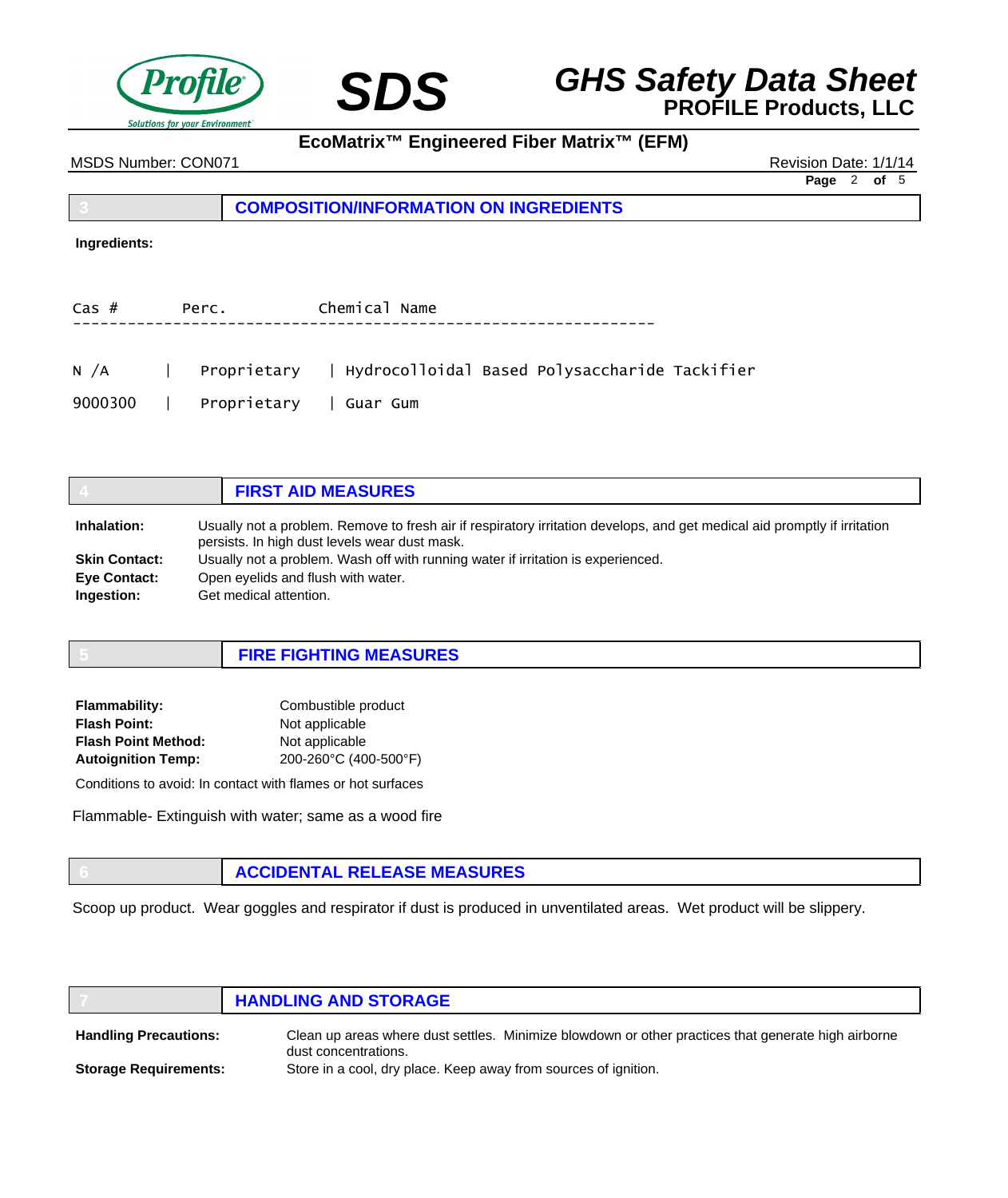



## **EcoMatrix™ Engineered Fiber Matrix™ (EFM)**

MSDS Number: CON071 **Revision Date: 1/1/14** Revision Date: 1/1/14

**Page** 2 **of** 5

**3 COMPOSITION/INFORMATION ON INGREDIENTS**

#### **Ingredients:**

| $\textsf{Cas}\;\#$               | Perc.       | Chemical Name                                               |
|----------------------------------|-------------|-------------------------------------------------------------|
|                                  |             |                                                             |
| N /A<br>the contract of the con- |             | Proprietary   Hydrocolloidal Based Polysaccharide Tackifier |
| 9000300                          | Proprietary | Guar Gum                                                    |

|                      | <b>FIRST AID MEASURES</b>                                                                                                                                                  |
|----------------------|----------------------------------------------------------------------------------------------------------------------------------------------------------------------------|
| Inhalation:          | Usually not a problem. Remove to fresh air if respiratory irritation develops, and get medical aid promptly if irritation<br>persists. In high dust levels wear dust mask. |
| <b>Skin Contact:</b> | Usually not a problem. Wash off with running water if irritation is experienced.                                                                                           |
| Eye Contact:         | Open eyelids and flush with water.                                                                                                                                         |
| Ingestion:           | Get medical attention.                                                                                                                                                     |

| <b>Flammability:</b>       | Combustible product   |
|----------------------------|-----------------------|
| <b>Flash Point:</b>        | Not applicable        |
| <b>Flash Point Method:</b> | Not applicable        |
| <b>Autoignition Temp:</b>  | 200-260°C (400-500°F) |

Conditions to avoid: In contact with flames or hot surfaces

Flammable- Extinguish with water; same as a wood fire

**6 ACCIDENTAL RELEASE MEASURES**

Scoop up product. Wear goggles and respirator if dust is produced in unventilated areas. Wet product will be slippery.

|                              | <b>HANDLING AND STORAGE</b>                                                                                                 |
|------------------------------|-----------------------------------------------------------------------------------------------------------------------------|
| <b>Handling Precautions:</b> | Clean up areas where dust settles. Minimize blowdown or other practices that generate high airborne<br>dust concentrations. |
| <b>Storage Requirements:</b> | Store in a cool, dry place. Keep away from sources of ignition.                                                             |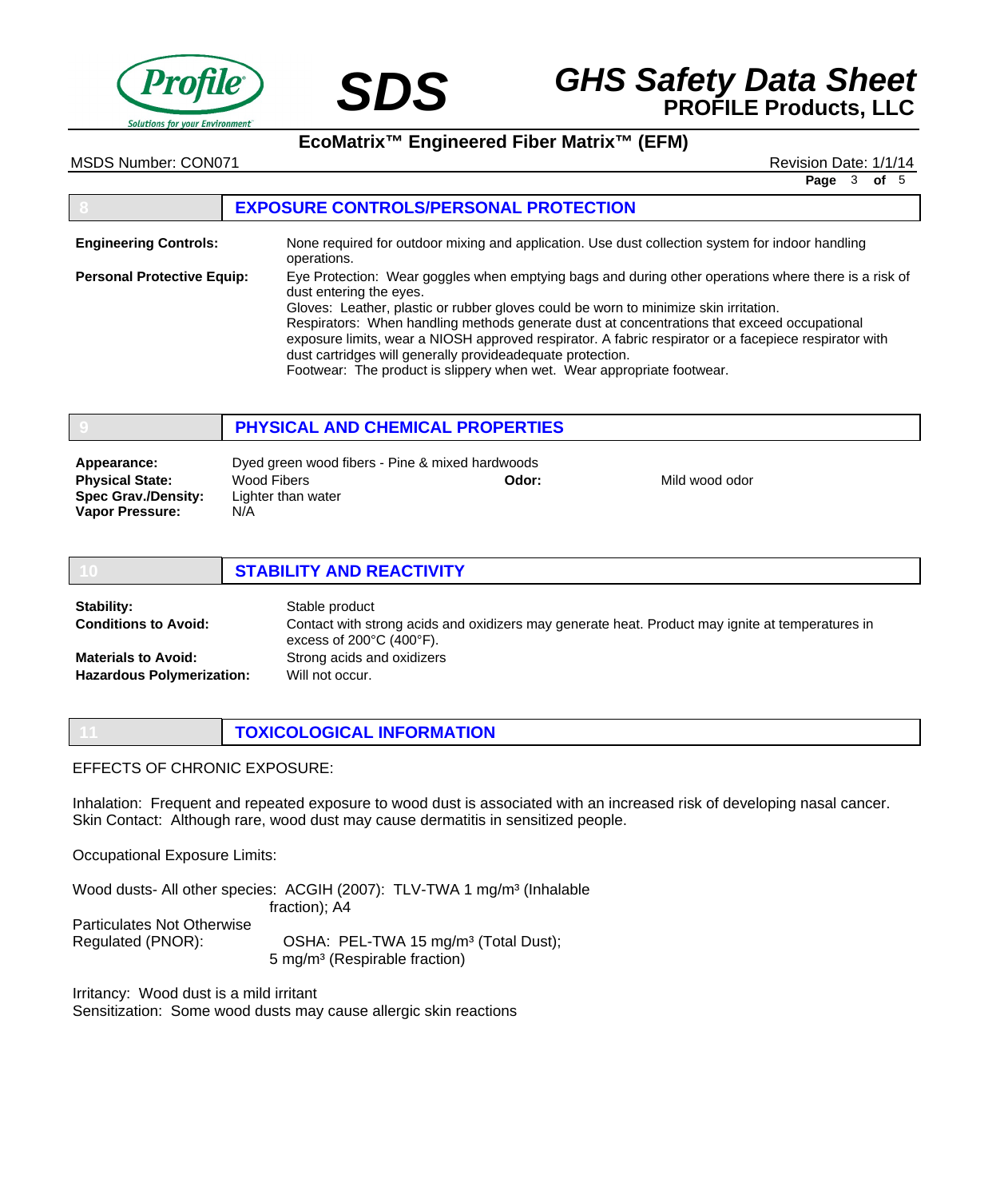



**EcoMatrix™ Engineered Fiber Matrix™ (EFM)**

MSDS Number: CON071 **Revision Date: 1/1/14** Revision Date: 1/1/14

**Page** 3 **of** 5

|                                   | <b>EXPOSURE CONTROLS/PERSONAL PROTECTION</b>                                                                                                                                                                                                                                                                                                                                                                                                                                                                                                                            |
|-----------------------------------|-------------------------------------------------------------------------------------------------------------------------------------------------------------------------------------------------------------------------------------------------------------------------------------------------------------------------------------------------------------------------------------------------------------------------------------------------------------------------------------------------------------------------------------------------------------------------|
| <b>Engineering Controls:</b>      | None required for outdoor mixing and application. Use dust collection system for indoor handling<br>operations.                                                                                                                                                                                                                                                                                                                                                                                                                                                         |
| <b>Personal Protective Equip:</b> | Eye Protection: Wear goggles when emptying bags and during other operations where there is a risk of<br>dust entering the eyes.<br>Gloves: Leather, plastic or rubber gloves could be worn to minimize skin irritation.<br>Respirators: When handling methods generate dust at concentrations that exceed occupational<br>exposure limits, wear a NIOSH approved respirator. A fabric respirator or a facepiece respirator with<br>dust cartridges will generally provideadequate protection.<br>Footwear: The product is slippery when wet. Wear appropriate footwear. |

|                                                                                        | PHYSICAL AND CHEMICAL PROPERTIES                                                            |       |                |  |
|----------------------------------------------------------------------------------------|---------------------------------------------------------------------------------------------|-------|----------------|--|
| Appearance:<br><b>Physical State:</b><br><b>Spec Grav./Density:</b><br>Vapor Pressure: | Dyed green wood fibers - Pine & mixed hardwoods<br>Wood Fibers<br>Lighter than water<br>N/A | Odor: | Mild wood odor |  |

|                                                                | <b>STABILITY AND REACTIVITY</b>                                                                                                                                     |
|----------------------------------------------------------------|---------------------------------------------------------------------------------------------------------------------------------------------------------------------|
| Stability:<br><b>Conditions to Avoid:</b>                      | Stable product<br>Contact with strong acids and oxidizers may generate heat. Product may ignite at temperatures in<br>excess of $200^{\circ}$ C (400 $^{\circ}$ F). |
| <b>Materials to Avoid:</b><br><b>Hazardous Polymerization:</b> | Strong acids and oxidizers<br>Will not occur.                                                                                                                       |

EFFECTS OF CHRONIC EXPOSURE:

Inhalation: Frequent and repeated exposure to wood dust is associated with an increased risk of developing nasal cancer. Skin Contact: Although rare, wood dust may cause dermatitis in sensitized people.

Occupational Exposure Limits:

Wood dusts- All other species: ACGIH (2007): TLV-TWA 1 mg/m<sup>3</sup> (Inhalable fraction); A4 Particulates Not Otherwise Regulated (PNOR): OSHA: PEL-TWA 15 mg/m<sup>3</sup> (Total Dust); 5 mg/m³ (Respirable fraction)

**11 TOXICOLOGICAL INFORMATION**

Irritancy: Wood dust is a mild irritant Sensitization: Some wood dusts may cause allergic skin reactions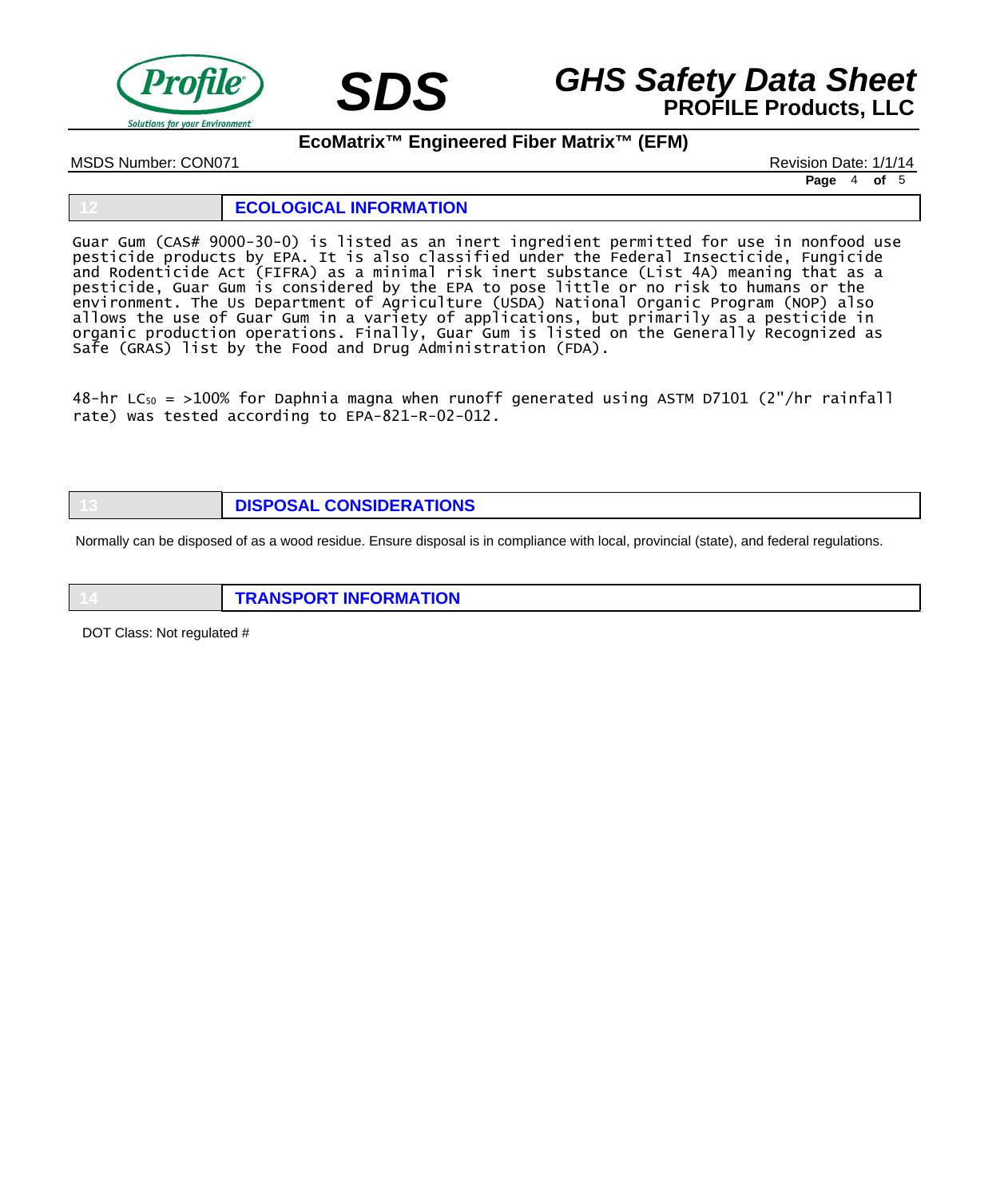

# **SDS GHS Safety Data Sheet**<br>**PROFILE Products, LLC**

**EcoMatrix™ Engineered Fiber Matrix™ (EFM)**

**Page** 4 **of** 5

MSDS Number: CON071 Revision Date: 1/1/14

**12 ECOLOGICAL INFORMATION**

Guar Gum (CAS# 9000-30-0) is listed as an inert ingredient permitted for use in nonfood use pesticide products by EPA. It is also classified under the Federal Insecticide, Fungicide and Rodenticide Act (FIFRA) as a minimal risk inert substance (List 4A) meaning that as a pesticide, Guar Gum is considered by the EPA to pose little or no risk to humans or the environment. The Us Department of Agriculture (USDA) National Organic Program (NOP) also allows the use of Guar Gum in a variety of applications, but primarily as a pesticide in organic production operations. Finally, Guar Gum is listed on the Generally Recognized as Safe (GRAS) list by the Food and Drug Administration (FDA).

48-hr  $LC_{50}$  = >100% for Daphnia magna when runoff generated using ASTM D7101 (2"/hr rainfall rate) was tested according to EPA-821-R-02-012.

**13 DISPOSAL CONSIDERATIONS**

Normally can be disposed of as a wood residue. Ensure disposal is in compliance with local, provincial (state), and federal regulations.

**14 TRANSPORT INFORMATION**

DOT Class: Not regulated #